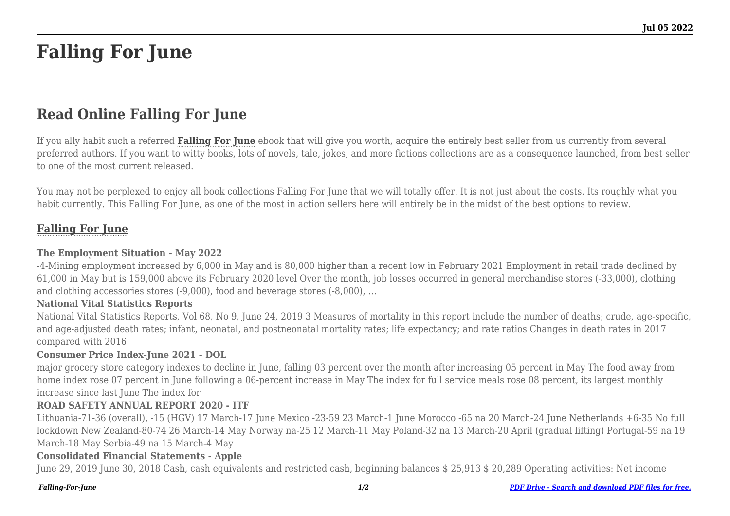# **Falling For June**

## **Read Online Falling For June**

If you ally habit such a referred **[Falling For June](http://jessicaberan.com)** ebook that will give you worth, acquire the entirely best seller from us currently from several preferred authors. If you want to witty books, lots of novels, tale, jokes, and more fictions collections are as a consequence launched, from best seller to one of the most current released.

You may not be perplexed to enjoy all book collections Falling For June that we will totally offer. It is not just about the costs. Its roughly what you habit currently. This Falling For June, as one of the most in action sellers here will entirely be in the midst of the best options to review.

### **[Falling For June](http://jessicaberan.com/Falling-For-June.pdf)**

### **The Employment Situation - May 2022**

-4-Mining employment increased by 6,000 in May and is 80,000 higher than a recent low in February 2021 Employment in retail trade declined by 61,000 in May but is 159,000 above its February 2020 level Over the month, job losses occurred in general merchandise stores (-33,000), clothing and clothing accessories stores (-9,000), food and beverage stores (-8,000), …

### **National Vital Statistics Reports**

National Vital Statistics Reports, Vol 68, No 9, June 24, 2019 3 Measures of mortality in this report include the number of deaths; crude, age-specific, and age-adjusted death rates; infant, neonatal, and postneonatal mortality rates; life expectancy; and rate ratios Changes in death rates in 2017 compared with 2016

### **Consumer Price Index-June 2021 - DOL**

major grocery store category indexes to decline in June, falling 03 percent over the month after increasing 05 percent in May The food away from home index rose 07 percent in June following a 06-percent increase in May The index for full service meals rose 08 percent, its largest monthly increase since last June The index for

### **ROAD SAFETY ANNUAL REPORT 2020 - ITF**

Lithuania-71-36 (overall), -15 (HGV) 17 March-17 June Mexico -23-59 23 March-1 June Morocco -65 na 20 March-24 June Netherlands +6-35 No full lockdown New Zealand-80-74 26 March-14 May Norway na-25 12 March-11 May Poland-32 na 13 March-20 April (gradual lifting) Portugal-59 na 19 March-18 May Serbia-49 na 15 March-4 May

### **Consolidated Financial Statements - Apple**

June 29, 2019 June 30, 2018 Cash, cash equivalents and restricted cash, beginning balances \$ 25,913 \$ 20,289 Operating activities: Net income